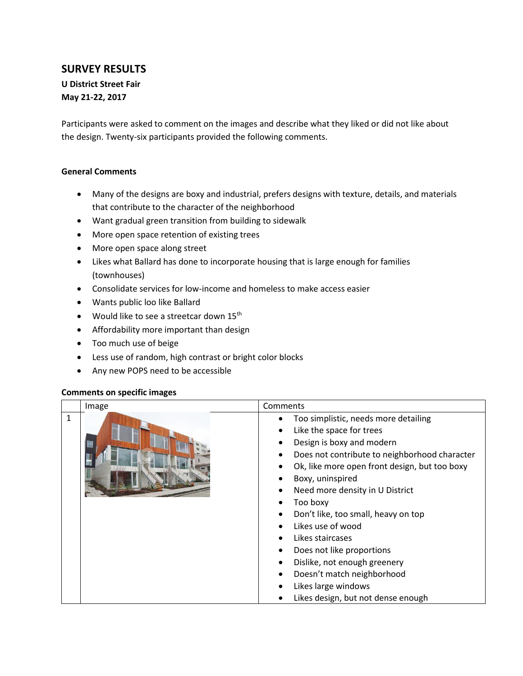## **SURVEY RESULTS**

**U District Street Fair May 21-22, 2017**

Participants were asked to comment on the images and describe what they liked or did not like about the design. Twenty-six participants provided the following comments.

## **General Comments**

- Many of the designs are boxy and industrial, prefers designs with texture, details, and materials that contribute to the character of the neighborhood
- Want gradual green transition from building to sidewalk
- More open space retention of existing trees
- More open space along street
- Likes what Ballard has done to incorporate housing that is large enough for families (townhouses)
- Consolidate services for low-income and homeless to make access easier
- Wants public loo like Ballard
- Would like to see a streetcar down 15<sup>th</sup>
- Affordability more important than design
- Too much use of beige
- Less use of random, high contrast or bright color blocks
- Any new POPS need to be accessible

## **Comments on specific images**

|              | Image | Comments                                                                                                                                                                                                                                                                                                                                                                                                                                                                                                             |
|--------------|-------|----------------------------------------------------------------------------------------------------------------------------------------------------------------------------------------------------------------------------------------------------------------------------------------------------------------------------------------------------------------------------------------------------------------------------------------------------------------------------------------------------------------------|
| $\mathbf{1}$ |       | Too simplistic, needs more detailing<br>٠<br>Like the space for trees<br>Design is boxy and modern<br>Does not contribute to neighborhood character<br>Ok, like more open front design, but too boxy<br>Boxy, uninspired<br>Need more density in U District<br>Too boxy<br>Don't like, too small, heavy on top<br>Likes use of wood<br>Likes staircases<br>Does not like proportions<br>٠<br>Dislike, not enough greenery<br>Doesn't match neighborhood<br>Likes large windows<br>Likes design, but not dense enough |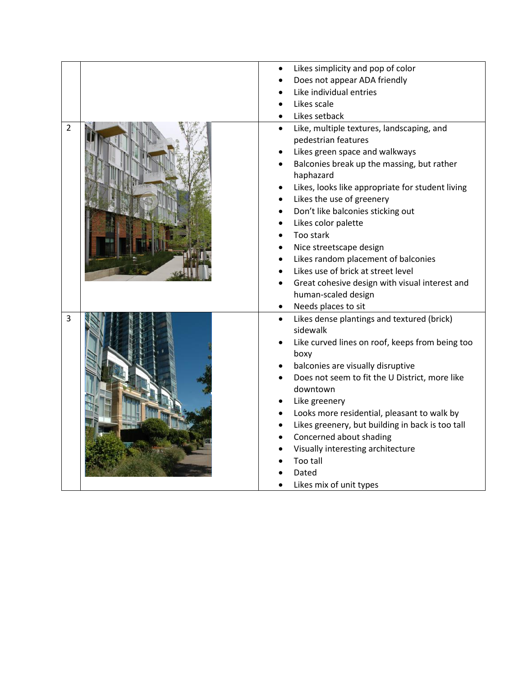|                | Likes simplicity and pop of color                                                                                                                                                                                                                                                                                                                                                                                                                                                                                     |
|----------------|-----------------------------------------------------------------------------------------------------------------------------------------------------------------------------------------------------------------------------------------------------------------------------------------------------------------------------------------------------------------------------------------------------------------------------------------------------------------------------------------------------------------------|
|                | Does not appear ADA friendly                                                                                                                                                                                                                                                                                                                                                                                                                                                                                          |
|                | Like individual entries                                                                                                                                                                                                                                                                                                                                                                                                                                                                                               |
|                | Likes scale                                                                                                                                                                                                                                                                                                                                                                                                                                                                                                           |
|                | Likes setback                                                                                                                                                                                                                                                                                                                                                                                                                                                                                                         |
| $\overline{2}$ | Like, multiple textures, landscaping, and<br>$\bullet$<br>pedestrian features<br>Likes green space and walkways<br>Balconies break up the massing, but rather<br>haphazard<br>Likes, looks like appropriate for student living<br>Likes the use of greenery<br>Don't like balconies sticking out<br>Likes color palette<br>Too stark<br>Nice streetscape design<br>Likes random placement of balconies<br>Likes use of brick at street level<br>Great cohesive design with visual interest and<br>human-scaled design |
|                | Needs places to sit                                                                                                                                                                                                                                                                                                                                                                                                                                                                                                   |
| $\overline{3}$ | Likes dense plantings and textured (brick)<br>$\bullet$<br>sidewalk<br>Like curved lines on roof, keeps from being too<br>boxy<br>balconies are visually disruptive<br>Does not seem to fit the U District, more like<br>downtown<br>Like greenery<br>Looks more residential, pleasant to walk by<br>Likes greenery, but building in back is too tall<br>Concerned about shading<br>Visually interesting architecture<br>Too tall<br>Dated<br>Likes mix of unit types                                                 |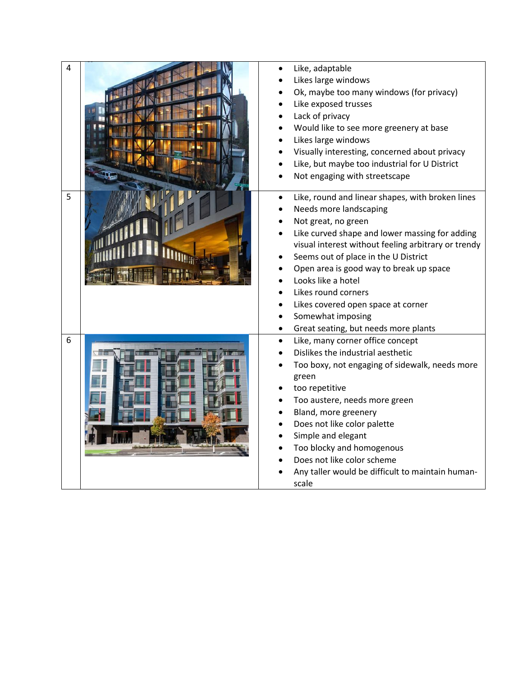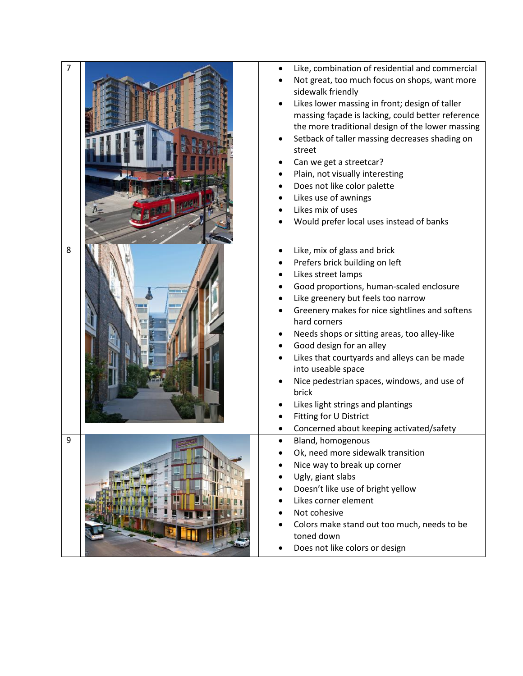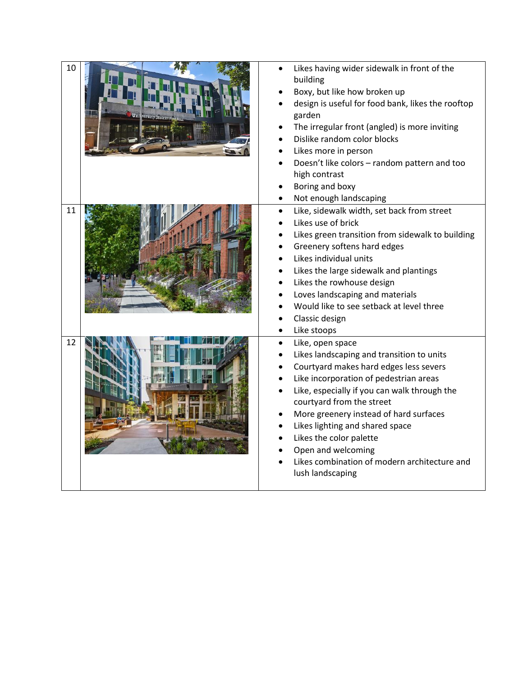| 10 | Likes having wider sidewalk in front of the<br>building<br>Boxy, but like how broken up<br>design is useful for food bank, likes the rooftop<br>garden<br>The irregular front (angled) is more inviting<br>Dislike random color blocks<br>Likes more in person<br>Doesn't like colors - random pattern and too<br>high contrast<br>Boring and boxy                                                                               |
|----|----------------------------------------------------------------------------------------------------------------------------------------------------------------------------------------------------------------------------------------------------------------------------------------------------------------------------------------------------------------------------------------------------------------------------------|
| 11 | Not enough landscaping<br>Like, sidewalk width, set back from street<br>Likes use of brick<br>Likes green transition from sidewalk to building<br>Greenery softens hard edges<br>Likes individual units<br>Likes the large sidewalk and plantings<br>Likes the rowhouse design<br>Loves landscaping and materials<br>Would like to see setback at level three<br>Classic design<br>Like stoops                                   |
| 12 | Like, open space<br>Likes landscaping and transition to units<br>Courtyard makes hard edges less severs<br>Like incorporation of pedestrian areas<br>Like, especially if you can walk through the<br>courtyard from the street<br>More greenery instead of hard surfaces<br>Likes lighting and shared space<br>Likes the color palette<br>Open and welcoming<br>Likes combination of modern architecture and<br>lush landscaping |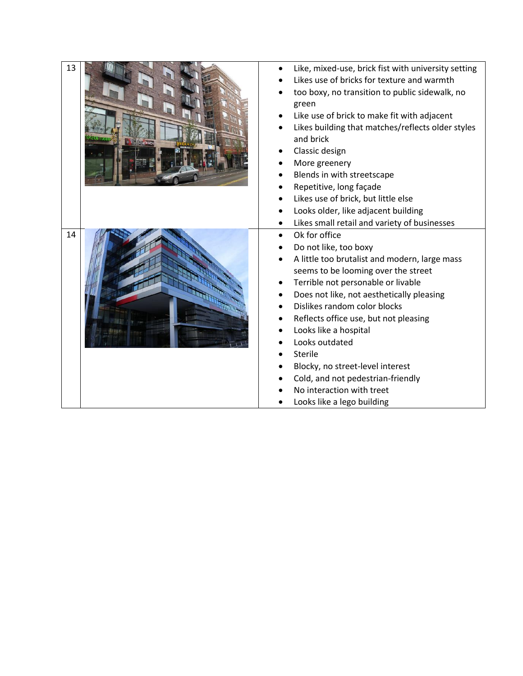